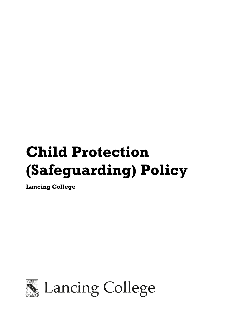# **Child Protection (Safeguarding) Policy**

**Lancing College** 

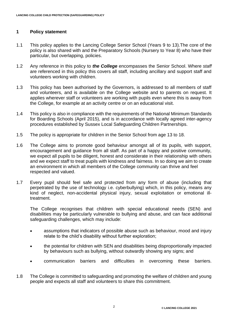## **1 Policy statement**

- 1.1 This policy applies to the Lancing College Senior School (Years 9 to 13).The core of the policy is also shared with and the Preparatory Schools (Nursery to Year 8) who have their particular, but overlapping, policies.
- 1.2 Any reference in this policy to *the College* encompasses the Senior School. Where *staff* are referenced in this policy this covers all staff, including ancillary and support staff and volunteers working with children.
- 1.3 This policy has been authorised by the Governors, is addressed to all members of staff and volunteers, and is available on the College website and to parents on request. It applies wherever staff or volunteers are working with pupils even where this is away from the College, for example at an activity centre or on an educational visit.
- 1.4 This policy is also in compliance with the requirements of the National Minimum Standards for Boarding Schools (April 2015), and is in accordance with locally agreed inter-agency procedures established by Sussex Local Safeguarding Children Partnerships.
- 1.5 The policy is appropriate for children in the Senior School from age 13 to 18.
- 1.6 The College aims to promote good behaviour amongst all of its pupils, with support, encouragement and guidance from all staff. As part of a happy and positive community, we expect all pupils to be diligent, honest and considerate in their relationship with others and we expect staff to treat pupils with kindness and fairness. In so doing we aim to create an environment in which all members of the College community can thrive and feel respected and valued.
- 1.7 Every pupil should feel safe and protected from any form of abuse (including that perpetrated by the use of technology i.e. cyberbullying) which, in this policy, means any kind of neglect, non-accidental physical injury, sexual exploitation or emotional illtreatment.

The College recognises that children with special educational needs (SEN) and disabilities may be particularly vulnerable to bullying and abuse, and can face additional safeguarding challenges, which may include:

- assumptions that indicators of possible abuse such as behaviour, mood and injury relate to the child's disability without further exploration;
- the potential for children with SEN and disabilities being disproportionally impacted by behaviours such as bullying, without outwardly showing any signs; and
- communication barriers and difficulties in overcoming these barriers.
- 1.8 The College is committed to safeguarding and promoting the welfare of children and young people and expects all staff and volunteers to share this commitment.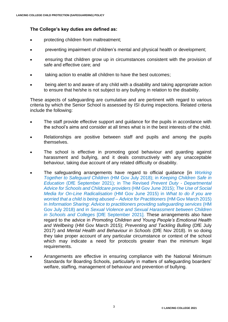# **The College's key duties are defined as:**

- protecting children from maltreatment;
- preventing impairment of children's mental and physical health or development;
- ensuring that children grow up in circumstances consistent with the provision of safe and effective care; and
- taking action to enable all children to have the best outcomes;
- being alert to and aware of any child with a disability and taking appropriate action to ensure that he/she is not subject to any bullying in relation to the disability.

These aspects of safeguarding are cumulative and are pertinent with regard to various criteria by which the Senior School is assessed by ISI during inspections. Related criteria include the following:

- The staff provide effective support and guidance for the pupils in accordance with the school's aims and consider at all times what is in the best interests of the child.
- Relationships are positive between staff and pupils and among the pupils themselves.
- The school is effective in promoting good behaviour and guarding against harassment and bullying, and it deals constructively with any unacceptable behaviour, taking due account of any related difficulty or disability.
- The safeguarding arrangements have regard to official guidance [in *[Working](https://lancing.fireflycloud.net/policies/a---z-1/working-together-to-safeguard-children)  [Together to Safeguard Children](https://lancing.fireflycloud.net/policies/a---z-1/working-together-to-safeguard-children)* (HM Gov July 2018); in *[Keeping Children Safe in](https://lancing.fireflycloud.net/policies/safeguarding/keeping-children-safe-in-education-)  Education* [\(DfE September](https://lancing.fireflycloud.net/policies/safeguarding/keeping-children-safe-in-education-) 2021); in The Revised *Prevent Duty - [Departmental](https://lancing.fireflycloud.net/policies/safeguarding/prevent-advice-for-schools-june-2015)  [Advice for Schools and Childcare providers](https://lancing.fireflycloud.net/policies/safeguarding/prevent-advice-for-schools-june-2015)* (HM Gov June 2015); *[The Use of Social](https://lancing.fireflycloud.net/policies/safeguarding/the-use-of-social-media-for-online-radicalisation----guidance-june-2015)  [Media for On-Line Radicalisation](https://lancing.fireflycloud.net/policies/safeguarding/the-use-of-social-media-for-online-radicalisation----guidance-june-2015)* (HM Gov June 2015) in *[What to do if you are](https://lancing.fireflycloud.net/policies/safeguarding/what-to-do-if-youre-worried-a-child-is-being-abused-hm-gov-advice-for-practitioners-june-2015)  [worried that a child is being abused –](https://lancing.fireflycloud.net/policies/safeguarding/what-to-do-if-youre-worried-a-child-is-being-abused-hm-gov-advice-for-practitioners-june-2015) Advice for Practitioners* (HM Gov March 2015) in *[Information Sharing: Advice to practitioners providing safeguarding services](https://lancing.fireflycloud.net/policies/safeguarding/information-sharing-advice-for-practitioners-hm-gov-july-2018)* (HM [Gov July 2018\)](https://lancing.fireflycloud.net/policies/safeguarding/information-sharing-advice-for-practitioners-hm-gov-july-2018) and in *[Sexual Violence and Sexual Harassment](https://lancing.fireflycloud.net/policies/safeguarding/sexual-violence-and-sexual-harassment-in-schools-and-colleges-dfe-may-2018) between Children [in Schools and Colleges](https://lancing.fireflycloud.net/policies/safeguarding/sexual-violence-and-sexual-harassment-in-schools-and-colleges-dfe-may-2018)* [DfE September 2021]. These arrangements also have regard to the advice in *Promoting Children and Young People's Emotional Health and Wellbeing* (HM Gov March 2015); *Preventing and Tackling Bulling* (DfE July 2017) and *Mental Health and Behaviour in Schools* (DfE Nov 2018). In so doing they take proper account of any particular circumstance or context of the school which may indicate a need for protocols greater than the minimum legal requirements.
- Arrangements are effective in ensuring compliance with the National Minimum Standards for Boarding Schools, particularly in matters of safeguarding boarders' welfare, staffing, management of behaviour and prevention of bullying.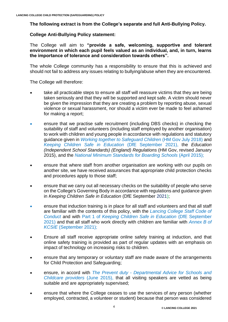**The following extract is from the College's separate and full Anti-Bullying Policy.**

## **College Anti-Bullying Policy statement:**

The College will aim to **"provide a safe, welcoming, supportive and tolerant environment in which each pupil feels valued as an individual, and, in turn, learns the importance of tolerance and consideration towards others".**

The whole College community has a responsibility to ensure that this is achieved and should not fail to address any issues relating to bullying/abuse when they are encountered.

The College will therefore:

- take all practicable steps to ensure all staff will reassure victims that they are being taken seriously and that they will be supported and kept safe. A victim should never be given the impression that they are creating a problem by reporting abuse, sexual violence or sexual harassment, nor should a victim ever be made to feel ashamed for making a report;
- ensure that we practise safe recruitment (including DBS checks) in checking the suitability of staff and volunteers (including staff employed by another organisation) to work with children and young people in accordance with regulations and statutory guidance given in *[Working together to Safeguard Children](https://lancing.fireflycloud.net/policies/safeguarding/working-together-to-safeguard-children-march-2015)* (HM Gov July 2018) and *[Keeping Children Safe in Education](https://lancing.fireflycloud.net/policies/a---z-1/keeping-children-safe-in-education)* (DfE September 2021), the *Education (Independent School Standards) (England) Regulations* (HM Gov, revised January 2015), and the *[National Minimum Standards for Boarding Schools](https://lancing.fireflycloud.net/policies/safeguarding/national-minimum-standards)* (April 2015);
- ensure that where staff from another organisation are working with our pupils on another site, we have received assurances that appropriate child protection checks and procedures apply to those staff;
- ensure that we carry out all necessary checks on the suitability of people who serve on the College's Governing Body in accordance with regulations and guidance given in *Keeping Children Safe in Education* (DfE September 2021);
- ensure that induction training is in place for all staff and volunteers and that all staff are familiar with the contents of this policy, with the *[Lancing College Staff Code of](https://lancing.fireflycloud.net/policies/a---z-1/staff-code-of-conduct)  [Conduct](https://lancing.fireflycloud.net/policies/a---z-1/staff-code-of-conduct)* and with Part 1 of *[Keeping Children Safe in Education](https://lancing.fireflycloud.net/policies/a---z-1/keeping-children-safe-in-education)* (DfE September [2021\)](https://lancing.fireflycloud.net/policies/a---z-1/keeping-children-safe-in-education) and that all staff who work directly with children are familiar with *[Annex B](https://lancing.fireflycloud.net/policies/a---z-1/keeping-children-safe-in-education) of KCSIE* [\(September 2021\);](https://lancing.fireflycloud.net/policies/a---z-1/keeping-children-safe-in-education)
- Ensure all staff receive appropriate online safety training at induction, and that online safety training is provided as part of regular updates with an emphasis on impact of technology on increasing risks to children.
- ensure that any temporary or voluntary staff are made aware of the arrangements for Child Protection and Safeguarding;
- ensure, in accord with *The Prevent duty - [Departmental Advice for Schools and](https://lancing.fireflycloud.net/policies/safeguarding/prevent-advice-for-schools-june-2015)  [Childcare providers](https://lancing.fireflycloud.net/policies/safeguarding/prevent-advice-for-schools-june-2015)* (June 2015), that all visiting speakers are vetted as being suitable and are appropriately supervised;
- ensure that where the College ceases to use the services of any person (whether employed, contracted, a volunteer or student) because that person was considered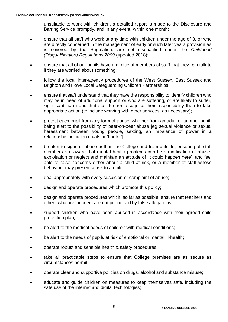unsuitable to work with children, a detailed report is made to the Disclosure and Barring Service promptly, and in any event, within one month;

- ensure that all staff who work at any time with children under the age of 8, or who are directly concerned in the management of early or such later years provision as is covered by the Regulation, are not disqualified under the *Childhood (Disqualification) Regulations 2009* (updated 2018);
- ensure that all of our pupils have a choice of members of staff that they can talk to if they are worried about something;
- follow the local inter-agency procedures of the West Sussex, East Sussex and Brighton and Hove Local Safeguarding Children Partnerships;
- ensure that staff understand that they have the responsibility to identify children who may be in need of additional support or who are suffering, or are likely to suffer, significant harm and that staff further recognise their responsibility then to take appropriate action (to include working with other services, as necessary);
- protect each pupil from any form of abuse, whether from an adult or another pupil, being alert to the possibility of peer-on-peer abuse [eg sexual violence or sexual harassment between young people, sexting, an imbalance of power in a relationship, initiation rituals or 'banter'];
- be alert to signs of abuse both in the College and from outside; ensuring all staff members are aware that mental health problems can be an indication of abuse, exploitation or neglect and maintain an attitude of 'it could happen here', and feel able to raise concerns either about a child at risk, or a member of staff whose behaviour may present a risk to a child;
- deal appropriately with every suspicion or complaint of abuse;
- design and operate procedures which promote this policy;
- design and operate procedures which, so far as possible, ensure that teachers and others who are innocent are not prejudiced by false allegations;
- support children who have been abused in accordance with their agreed child protection plan;
- be alert to the medical needs of children with medical conditions;
- be alert to the needs of pupils at risk of emotional or mental ill-health;
- operate robust and sensible health & safety procedures;
- take all practicable steps to ensure that College premises are as secure as circumstances permit;
- operate clear and supportive policies on drugs, alcohol and substance misuse;
- educate and guide children on measures to keep themselves safe, including the safe use of the internet and digital technologies;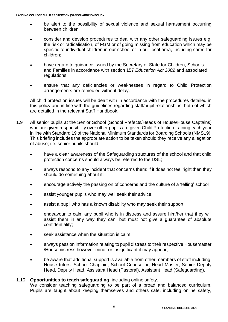- be alert to the possibility of sexual violence and sexual harassment occurring between children
- consider and develop procedures to deal with any other safeguarding issues e.g. the risk or radicalisation, of FGM or of going missing from education which may be specific to individual children in our school or in our local area, including cared for children;
- have regard to guidance issued by the Secretary of State for Children, Schools and Families in accordance with section 157 *Education Act 2002* and associated regulations;
- ensure that any deficiencies or weaknesses in regard to Child Protection arrangements are remedied without delay.

All child protection issues will be dealt with in accordance with the procedures detailed in this policy and in line with the guidelines regarding staff/pupil relationships, both of which are detailed in the relevant Staff Handbook.

- 1.9 All senior pupils at the Senior School (School Prefects/Heads of House/House Captains) who are given responsibility over other pupils are given Child Protection training each year in line with Standard 19 of the National Minimum Standards for Boarding Schools (NMS19). This briefing includes the appropriate action to be taken should they receive any allegation of abuse; i.e. senior pupils should:
	- have a clear awareness of the Safeguarding structures of the school and that child protection concerns should always be referred to the DSL;
	- always respond to any incident that concerns them: if it does not feel right then they should do something about it;
	- encourage actively the passing on of concerns and the culture of a 'telling' school
	- assist younger pupils who may well seek their advice;
	- assist a pupil who has a known disability who may seek their support;
	- endeavour to calm any pupil who is in distress and assure him/her that they will assist them in any way they can, but must not give a guarantee of absolute confidentiality;
	- seek assistance when the situation is calm;
	- always pass on information relating to pupil distress to their respective Housemaster /Housemistress however minor or insignificant it may appear;
	- be aware that additional support is available from other members of staff including: House tutors, School Chaplain, School Counsellor, Head Master, Senior Deputy Head, Deputy Head, Assistant Head (Pastoral), Assistant Head (Safeguarding).

#### 1.10 **Opportunities to teach safeguarding**, including online safety.

We consider teaching safeguarding to be part of a broad and balanced curriculum. Pupils are taught about keeping themselves and others safe, including online safety,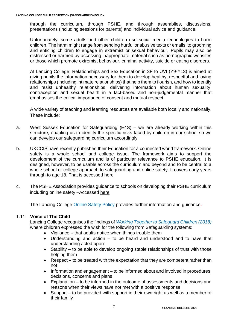through the curriculum, through PSHE, and through assemblies, discussions, presentations (including sessions for parents) and individual advice and guidance.

Unfortunately, some adults and other children use social media technologies to harm children. The harm might range from sending hurtful or abusive texts or emails, to grooming and enticing children to engage in extremist or sexual behaviour. Pupils may also be distressed or harmed by accessing inappropriate material such as pornographic websites or those which promote extremist behaviour, criminal activity, suicide or eating disorders.

At Lancing College, [Relationships and Sex Education](https://lancingedu-my.sharepoint.com/personal/rpd_lancing_org_uk/Documents/Policies/September%202000/RSE/Lancing%20College%20Relationships%20and%20Sex%20Policy%20January%202021%20v6%20draft.pdf) in 3F to UVI (Y9-Y13) is aimed at giving pupils the information necessary for them to develop healthy, respectful and loving relationships (including intimate relationships) that help them to flourish, and how to identify and resist unhealthy relationships; delivering information about human sexuality, contraception and sexual health in a fact-based and non-judgemental manner that emphasises the critical importance of consent and mutual respect.

A wide variety of teaching and learning resources are available both locally and nationally. These include:

- a. West Sussex Education for Safeguarding (E4S) we are already working within this structure, enabling us to identify the specific risks faced by children in our school so we can develop our safeguarding curriculum accordingly
- b. UKCCIS have recently published their Education for a connected world framework. Online safety is a whole school and college issue. The framework aims to support the development of the curriculum and is of particular relevance to PSHE education. It is designed, however, to be usable across the curriculum and beyond and to be central to a whole school or college approach to safeguarding and online safety. It covers early years through to age 18. That is accessed [here](https://assets.publishing.service.gov.uk/government/uploads/system/uploads/attachment_data/file/683895/Education_for_a_connected_world_PDF.PDF)
- c. The PSHE Association provides guidance to schools on developing their PSHE curriculum including online safety –Accessed [here](https://www.pshe-association.org.uk/)

The Lancing College [Online Safety Policy](https://lancing.fireflycloud.net/policies/a---z-1/online-safety) provides further information and guidance.

## 1.11 **Voice of The Child**

Lancing College recognises the findings of *[Working Together to Safeguard Children \(2018\)](https://lancing.fireflycloud.net/policies/a---z-1/working-together-to-safeguard-children)* where children expressed the wish for the following from Safeguarding systems:

- Vigilance that adults notice when things trouble them
- Understanding and action to be heard and understood and to have that understanding acted upon
- Stability to be able to develop ongoing stable relationships of trust with those helping them
- Respect to be treated with the expectation that they are competent rather than not
- Information and engagement to be informed about and involved in procedures, decisions, concerns and plans
- Explanation to be informed in the outcome of assessments and decisions and reasons when their views have not met with a positive response
- Support to be provided with support in their own right as well as a member of their family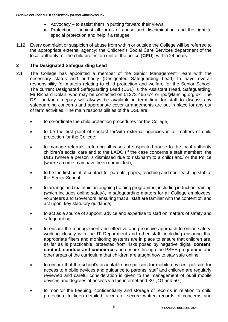- Advocacy to assist them in putting forward their views
- Protection against all forms of abuse and discrimination, and the right to special protection and help if a refugee
- 1.12 Every complaint or suspicion of abuse from within or outside the College will be referred to the appropriate external agency: the Children's Social Care Services department of the local authority, or the child protection unit of the police (**CPU**), within 24 hours.

## **2 The Designated Safeguarding Lead**

- 2.1 The College has appointed a member of the Senior Management Team with the necessary status and authority (Designated Safeguarding Lead) to have overall responsibility for matters relating to child protection and welfare for the Senior School. The current Designated Safeguarding Lead (DSL) is the Assistant Head, Safeguarding, Mr Richard Dolan, who may be contacted on 01273 465774 or [rpd@lancing.org.uk](mailto:rpd@lancing.org.uk) The DSL and/or a deputy will always be available in term time for staff to discuss any safeguarding concerns and appropriate cover arrangements are put in place for any out of term activities. The main responsibilities of the DSL are:
	- to co-ordinate the child protection procedures for the College;
	- to be the first point of contact for/with external agencies in all matters of child protection for the College;
	- to manage referrals, referring all cases of suspected abuse to the local authority children's social care and to the LADO (if the case concerns a staff member); the DBS (where a person is dismissed due to risk/harm to a child) and/ or the Police (where a crime may have been committed);
	- to be the first point of contact for parents, pupils, teaching and non-teaching staff at the Senior School;
	- to arrange and maintain an ongoing training programme, including induction training (which includes online safety), in safeguarding matters for all College employees, volunteers and Governors, ensuring that all staff are familiar with the content of, and act upon, key statutory guidance;
	- to act as a source of support, advice and expertise to staff on matters of safety and safeguarding;
	- to ensure the management and effective and proactive approach to online safety, working closely with the IT Department and other staff, including ensuring that appropriate filters and monitoring systems are in place to ensure that children are, as far as is practicable, protected from risks posed by negative digital **content, contact, conduct and commerce** and ensure through the PSHE programme and other areas of the curriculum that children are taught how to stay safe online.
	- to ensure that the school's acceptable use policies for mobile devices; policies for access to mobile devices and guidance to parents, staff and children are regularly reviewed and careful consideration is given to the management of pupil mobile devices and degrees of access via the internet and 3G ,4G and 5G;
	- to monitor the keeping, confidentiality and storage of records in relation to child protection; to keep detailed, accurate, secure written records of concerns and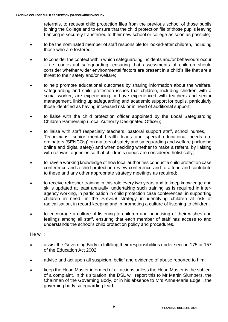referrals, to request child protection files from the previous school of those pupils joining the College and to ensure that the child protection file of those pupils leaving Lancing is securely transferred to their new school or college as soon as possible;

- to be the nominated member of staff responsible for looked-after children, including those who are fostered;
- to consider the context within which safeguarding incidents and/or behaviours occur – i.e. contextual safeguarding, ensuring that assessments of children should consider whether wider environmental factors are present in a child's life that are a threat to their safety and/or welfare;
- to help promote educational outcomes by sharing information about the welfare, safeguarding and child protection issues that children, including children with a social worker, are experiencing or have experienced with teachers and senior management, linking up safeguarding and academic support for pupils, particularly those identified as having increased risk or in need of additional support;
- to liaise with the child protection officer appointed by the Local Safeguarding Children Partnership (Local Authority Designated Officer);
- to liaise with staff (especially teachers, pastoral support staff, school nurses, IT Technicians, senior mental health leads and special educational needs coordinators (SENCOs)) on matters of safety and safeguarding and welfare (including online and digital safety) and when deciding whether to make a referral by liaising with relevant agencies so that children's needs are considered holistically;
- to have a working knowledge of how local authorities conduct a child protection case conference and a child protection review conference and to attend and contribute to these and any other appropriate strategy meetings as required;
- to receive refresher training in this role every two years and to keep knowledge and skills updated at least annually, undertaking such training as is required in interagency working, in participation in child protection case conferences, in supporting children in need, in the *Prevent* strategy in identifying children at risk of radicalisation, in record keeping and in promoting a culture of listening to children;
- to encourage a culture of listening to children and prioritising of their wishes and feelings among all staff, ensuring that each member of staff has access to and understands the school's child protection policy and procedures.

## He will:

- assist the Governing Body in fulfilling their responsibilities under section 175 or 157 of the Education Act 2002
- advise and act upon all suspicion, belief and evidence of abuse reported to him;
- keep the Head Master informed of all actions unless the Head Master is the subject of a complaint. In this situation, the DSL will report this to Mr Martin Slumbers, the Chairman of the Governing Body, or in his absence to Mrs Anne-Marie Edgell, the governing body safeguarding lead;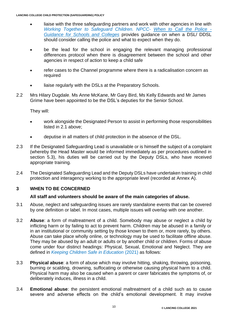- liaise with the three safeguarding partners and work with other agencies in line with *Working Together to Safeguard Children. NPCC- [When to Call the Police -](https://www.npcc.police.uk/documents/Children%20and%20Young%20people/When%20to%20call%20the%20police%20guidance%20for%20schools%20and%20colleges.pdf) [Guidance for Schools and Colleges](https://www.npcc.police.uk/documents/Children%20and%20Young%20people/When%20to%20call%20the%20police%20guidance%20for%20schools%20and%20colleges.pdf)* provides guidance on when a DSL/ DDSL should consider calling the police and what to expect when they do.
- be the lead for the school in engaging the relevant managing professional differences protocol when there is disagreement between the school and other agencies in respect of action to keep a child safe
- refer cases to the Channel programme where there is a radicalisation concern as required
- liaise regularly with the DSLs at the Preparatory Schools.
- 2.2 Mrs Hilary Dugdale, Ms Anne McKane, Mr Gary Bird, Ms Kelly Edwards and Mr James Grime have been appointed to be the DSL's deputies for the Senior School.

They will:

- work alongside the Designated Person to assist in performing those responsibilities listed in 2.1 above;
- deputise in all matters of child protection in the absence of the DSL.
- 2.3 If the Designated Safeguarding Lead is unavailable or is himself the subject of a complaint (whereby the Head Master would be informed immediately as per procedures outlined in section 5.3), his duties will be carried out by the Deputy DSLs, who have received appropriate training.
- 2.4 The Designated Safeguarding Lead and the Deputy DSLs have undertaken training in child protection and interagency working to the appropriate level (recorded at Annex A).

## **3 WHEN TO BE CONCERNED**

#### **All staff and volunteers should be aware of the main categories of abuse.**

- 3.1 Abuse, neglect and safeguarding issues are rarely standalone events that can be covered by one definition or label. In most cases, multiple issues will overlap with one another.
- 3.2 **Abuse**: a form of maltreatment of a child. Somebody may abuse or neglect a child by inflicting harm or by failing to act to prevent harm. Children may be abused in a family or in an institutional or community setting by those known to them or, more rarely, by others. Abuse can take place wholly online, or technology may be used to facilitate offline abuse. They may be abused by an adult or adults or by another child or children. Forms of abuse come under four distinct headings: Physical, Sexual, Emotional and Neglect. They are defined in *[Keeping Children Safe in Education](https://lancing.fireflycloud.net/policies/a---z-1/keeping-children-safe-in-education)* (2021) as follows:
- 3.3 **Physical abuse**: a form of abuse which may involve hitting, shaking, throwing, poisoning, burning or scalding, drowning, suffocating or otherwise causing physical harm to a child. Physical harm may also be caused when a parent or carer fabricates the symptoms of, or deliberately induces, illness in a child.
- 3.4 **Emotional abuse**: the persistent emotional maltreatment of a child such as to cause severe and adverse effects on the child's emotional development. It may involve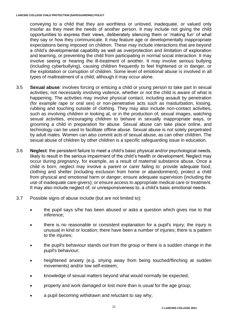conveying to a child that they are worthless or unloved, inadequate, or valued only insofar as they meet the needs of another person. It may include not giving the child opportunities to express their views, deliberately silencing them or 'making fun' of what they say or how they communicate. It may feature age or developmentally inappropriate expectations being imposed on children. These may include interactions that are beyond a child's developmental capability as well as overprotection and limitation of exploration and learning, or preventing the child from participating in normal social interaction. It may involve seeing or hearing the ill-treatment of another. It may involve serious bullying (including cyberbullying), causing children frequently to feel frightened or in danger, or the exploitation or corruption of children. Some level of emotional abuse is involved in all types of maltreatment of a child, although it may occur alone.

- 3.5 **Sexual abuse**: involves forcing or enticing a child or young person to take part in sexual activities, not necessarily involving violence, whether or not the child is aware of what is happening. The activities may involve physical contact, including assault by penetration (for example rape or oral sex) or non-penetrative acts such as masturbation, kissing, rubbing and touching outside of clothing. They may also include non-contact activities, such as involving children in looking at, or in the production of, sexual images, watching sexual activities, encouraging children to behave in sexually inappropriate ways, or grooming a child in preparation for abuse. Sexual abuse can take place online, and technology can be used to facilitate offline abuse. Sexual abuse is not solely perpetrated by adult males. Women can also commit acts of sexual abuse, as can other children. The sexual abuse of children by other children is a specific safeguarding issue in education.
- 3.6 **Neglect**: the persistent failure to meet a child's basic physical and/or psychological needs, likely to result in the serious impairment of the child's health or development. Neglect may occur during pregnancy, for example, as a result of maternal substance abuse. Once a child is born, neglect may involve a parent or carer failing to: provide adequate food, clothing and shelter (including exclusion from home or abandonment); protect a child from physical and emotional harm or danger; ensure adequate supervision (including the use of inadequate care-givers); or ensure access to appropriate medical care or treatment. It may also include neglect of, or unresponsiveness to, a child's basic emotional needs.
- 3.7 Possible signs of abuse include (but are not limited to):
	- the pupil says s/he has been abused or asks a question which gives rise to that inference;
	- there is no reasonable or consistent explanation for a pupil's injury; the injury is unusual in kind or location; there have been a number of injuries; there is a pattern to the injuries;
	- the pupil's behaviour stands out from the group or there is a sudden change in the pupil's behaviour;
	- heightened anxiety (e.g. shying away from being touched/flinching at sudden movements) and/or low self-esteem;
	- knowledge of sexual matters beyond what would normally be expected;
	- property and work damaged or lost more than is usual for the age group;
	- a pupil becoming withdrawn and reluctant to say why;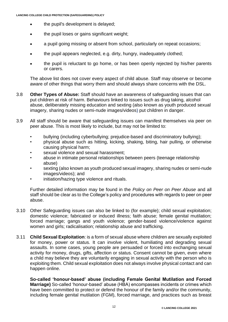- the pupil's development is delayed;
- the pupil loses or gains significant weight;
- a pupil going missing or absent from school, particularly on repeat occasions;
- the pupil appears neglected, e.g. dirty, hungry, inadequately clothed;
- the pupil is reluctant to go home, or has been openly rejected by his/her parents or carers.

The above list does not cover every aspect of child abuse. Staff may observe or become aware of other things that worry them and should always share concerns with the DSL.

- 3.8 **Other Types of Abuse:** Staff should have an awareness of safeguarding issues that can put children at risk of harm. Behaviours linked to issues such as drug taking, alcohol abuse, deliberately missing education and sexting (also known as youth produced sexual imagery, sharing nudes or semi-nude images/videos) put children in danger.
- 3.9 All staff should be aware that safeguarding issues can manifest themselves via peer on peer abuse. This is most likely to include, but may not be limited to:
	- bullying (including cyberbullying; prejudice-based and discriminatory bullying);
	- physical abuse such as hitting, kicking, shaking, biting, hair pulling, or otherwise causing physical harm;
	- sexual violence and sexual harassment;
	- abuse in intimate personal relationships between peers (teenage relationship abuse)
	- sexting (also known as youth produced sexual imagery, sharing nudes or semi-nude images/videos); and
	- initiation/hazing type violence and rituals.

Further detailed information may be found in the *Policy on Peer on Peer Abuse* and all staff should be clear as to the College's policy and procedures with regards to peer on peer abuse.

- 3.10 Other Safeguarding issues can also be linked to (for example); child sexual exploitation; domestic violence; fabricated or induced illness; faith abuse; female genital mutilation; forced marriage; gangs and youth violence; gender-based violence/violence against women and girls; radicalisation; relationship abuse and trafficking.
- 3.11 **Child Sexual Exploitation**: is a form of sexual abuse where children are sexually exploited for money, power or status. It can involve violent, humiliating and degrading sexual assaults. In some cases, young people are persuaded or forced into exchanging sexual activity for money, drugs, gifts, affection or status. Consent cannot be given, even where a child may believe they are voluntarily engaging in sexual activity with the person who is exploiting them. Child sexual exploitation does not always involve physical contact and can happen online.

**So-called 'honour-based' abuse (including Female Genital Mutilation and Forced Marriage)** So-called 'honour-based' abuse (HBA) encompasses incidents or crimes which have been committed to protect or defend the honour of the family and/or the community, including female genital mutilation (FGM), forced marriage, and practices such as breast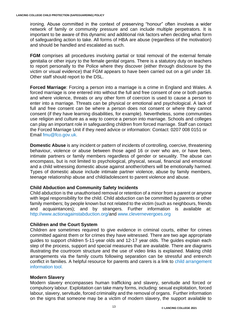ironing. Abuse committed in the context of preserving "honour" often involves a wider network of family or community pressure and can include multiple perpetrators. It is important to be aware of this dynamic and additional risk factors when deciding what form of safeguarding action to take. All forms of HBA are abuse (regardless of the motivation) and should be handled and escalated as such.

**FGM** comprises all procedures involving partial or total removal of the external female genitalia or other injury to the female genital organs. There is a statutory duty on teachers to report personally to the Police where they discover (either through disclosure by the victim or visual evidence) that FGM appears to have been carried out on a girl under 18. Other staff should report to the DSL.

**Forced Marriage**: Forcing a person into a marriage is a crime in England and Wales. A forced marriage is one entered into without the full and free consent of one or both parties and where violence, threats or any other form of coercion is used to cause a person to enter into a marriage. Threats can be physical or emotional and psychological. A lack of full and free consent can be where a person does not consent or where they cannot consent (if they have learning disabilities, for example). Nevertheless, some communities use religion and culture as a way to coerce a person into marriage. Schools and colleges can play an important role in safeguarding children from forced marriage. Staff can contact the Forced Marriage Unit if they need advice or information: Contact: 0207 008 0151 or Email [fmu@fco.gov.uk.](mailto:fmu@fco.gov.uk)

**Domestic Abuse** is any incident or pattern of incidents of controlling, coercive, threatening behaviour, violence or abuse between those aged 16 or over who are, or have been, intimate partners or family members regardless of gender or sexuality. The abuse can encompass, but is not limited to psychological, physical, sexual, financial and emotional and a child witnessing domestic abuse against another/others will be emotionally harmed. Types of domestic abuse include intimate partner violence, abuse by family members, teenage relationship abuse and child/adolescent to parent violence and abuse.

## **Child Abduction and Community Safety Incidents**

Child abduction is the unauthorised removal or retention of a minor from a parent or anyone with legal responsibility for the child. Child abduction can be committed by parents or other family members; by people known but not related to the victim (such as neighbours, friends and acquaintances); and by strangers. Further information is available at: [http://www.actionagainstabduction.org/a](http://www.actionagainstabduction.org/)nd [www.clevernevergoes.org](https://clevernevergoes.org/)

## **Children and the Court System**

Children are sometimes required to give evidence in criminal courts, either for crimes committed against them or for crimes they have witnessed. There are two age appropriate guides to support children 5-11-year olds and 12-17 year olds. The guides explain each step of the process, support and special measures that are available. There are diagrams illustrating the courtroom structure and the use of video links is explained. Making child arrangements via the family courts following separation can be stressful and entrench conflict in families. A helpful resource for parents and carers is a link to [child arrangement](https://helpwithchildarrangements.service.justice.gov.uk/)  [information tool.](https://helpwithchildarrangements.service.justice.gov.uk/)

#### **Modern Slavery**

Modern slavery encompasses human trafficking and slavery, servitude and forced or compulsory labour. Exploitation can take many forms, including: sexual exploitation, forced labour, slavery, servitude, forced criminality and the removal of organs. Further information on the signs that someone may be a victim of modern slavery, the support available to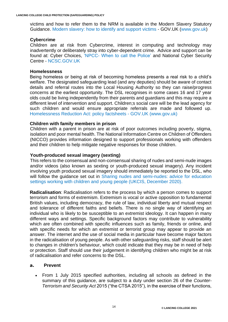victims and how to refer them to the NRM is available in the Modern Slavery Statutory Guidance. [Modern slavery: how to identify and support victims](https://www.local.gov.uk/publications/supporting-modern-slavery-victims-guidance-and-good-practice-council-homelessness#:~:text=The%20government%E2%80%99s%20statutory%20framework%20for%20identifying%20and%20supporting,designated%20bodies%2C%20known%20as%20first%20responders%2C%20including%3A%20councils) - GOV.UK [\(www.gov.uk\)](http://www.gov.uk/)

#### **Cybercrime**

Children are at risk from Cybercrime, interest in computing and technology may inadvertently or deliberately stray into cyber-dependent crime. Advice and support can be found at: Cyber Choices, 'NPCC- [When to call the Police'](https://www.npcc.police.uk/documents/Children%20and%20Young%20people/When%20to%20call%20police%20guidance%20for%20schools%20and%20colleges.pdf) and National Cyber Security Centre - [NCSC.GOV.UK](https://www.ncsc.gov.uk/)

#### **Homelessness**

Being homeless or being at risk of becoming homeless presents a real risk to a child's welfare. The designated safeguarding lead (and any deputies) should be aware of contact details and referral routes into the Local Housing Authority so they can raise/progress concerns at the earliest opportunity. The DSL recognises in some cases 16 and 17 year olds could be living independently from their parents and guardians and this may require a different level of intervention and support. Children;s social care will be the lead agency for such children and would ensure appropriate referrals are made and followed up. [Homelessness Reduction Act: policy factsheets -](https://www.gov.uk/government/publications/homelessness-reduction-bill-policy-factsheets) GOV.UK (www.gov.uk)

#### **Children with family members in prison**

Children with a parent in prison are at risk of poor outcomes including poverty, stigma, isolation and poor mental health. The National Information Centre on Children of Offenders (NICCO) provides information designed to support professionals working with offenders and their children to help mitigate negative responses for those children.

#### **Youth-produced sexual imagery (sexting)**

This refers to the consensual and non-consensual sharing of nudes and semi-nude images and/or videos (also known as sexting or youth-produced sexual imagery). Any incident involving youth produced sexual imagery should immediately be reported to the DSL, who will follow the quidance set out in Sharing nudes and semi-nudes: advice for education [settings working with children and young people \(UKCIS, December 2020\).](https://www.gov.uk/government/publications/sharing-nudes-and-semi-nudes-advice-for-education-settings-working-with-children-and-young-people)

**Radicalisation**: Radicalisation refers to the process by which a person comes to support terrorism and forms of extremism. Extremism is vocal or active opposition to fundamental British values, including democracy, the rule of law, individual liberty and mutual respect and tolerance of different faiths and beliefs. There is no single way of identifying an individual who is likely to be susceptible to an extremist ideology. It can happen in many different ways and settings. Specific background factors may contribute to vulnerability which are often combined with specific influences such as family, friends or online, and with specific needs for which an extremist or terrorist group may appear to provide an answer. The internet and the use of social media in particular have become major factors in the radicalisation of young people. As with other safeguarding risks, staff should be alert to changes in children's behaviour, which could indicate that they may be in need of help or protection. Staff should use their judgement in identifying children who might be at risk of radicalisation and refer concerns to the DSL.

#### **a. Prevent**

• From 1 July 2015 specified authorities, including all schools as defined in the summary of this guidance, are subject to a duty under section 26 of the *Counter-Terrorism and Security Act* 2015 ("the CTSA 2015"), in the exercise of their functions,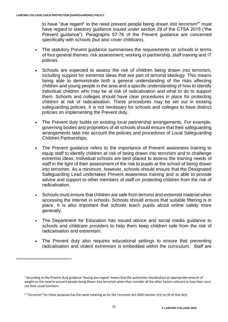to have "due regard<sup>1</sup> to the need prevent people being drawn into terrorism<sup>2</sup>" must have regard to statutory guidance issued under section 29 of the CTSA 2015 ("the Prevent guidance"). Paragraphs 57-76 of the Prevent guidance are concerned specifically with schools (but also cover childcare).

- The statutory Prevent guidance summarises the requirements on schools in terms of four general themes: risk assessment, working in partnership, staff training and IT policies.
- Schools are expected to assess the risk of children being drawn into terrorism, including support for extremist ideas that are part of terrorist ideology. This means being able to demonstrate both a general understanding of the risks affecting children and young people in the area and a specific understanding of how to identify individual children who may be at risk of radicalisation and what to do to support them. Schools and colleges should have clear procedures in place for protecting children at risk of radicalisation. These procedures may be set out in existing safeguarding policies. It is not necessary for schools and colleges to have distinct policies on implementing the Prevent duty.
- The Prevent duty builds on existing local partnership arrangements. For example, governing bodies and proprietors of all schools should ensure that their safeguarding arrangements take into account the policies and procedures of Local Safeguarding Children Partnerships.
- The Prevent guidance refers to the importance of Prevent awareness training to equip staff to identify children at risk of being drawn into terrorism and to challenge extremist ideas. Individual schools are best placed to assess the training needs of staff in the light of their assessment of the risk to pupils at the school of being drawn into terrorism. As a minimum, however, schools should ensure that the Designated Safeguarding Lead undertakes Prevent awareness training and is able to provide advice and support to other members of staff on protecting children from the risk of radicalisation.
- Schools must ensure that children are safe from terrorist and extremist material when accessing the internet in schools. Schools should ensure that suitable filtering is in place. It is also important that schools teach pupils about online safety more generally.
- The Department for Education has issued advice and social media guidance to schools and childcare providers to help them keep children safe from the risk of radicalisation and extremism.
- The Prevent duty also requires educational settings to ensure that preventing radicalisation and violent extremism is embedded within the curriculum. Staff are

<sup>&</sup>lt;sup>1</sup> According to the Prevent duty guidance 'having due regard' means that the authorities should place an appropriate amount of weight on the need to prevent people being drawn into terrorism when they consider all the other factors relevant to how they carry out their usual functions

<sup>&</sup>lt;sup>2</sup> "Terrorism" for these purposes has the same meaning as for the Terrorism Act 2000 (section 1(1) to (4) of that Act).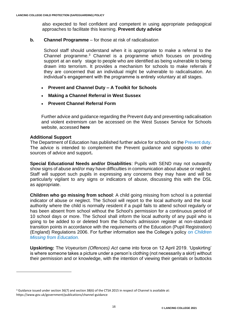also expected to feel confident and competent in using appropriate pedagogical approaches to facilitate this learning. **[Prevent duty advice](https://www.gov.uk/government/uploads/system/uploads/attachment_data/file/439598/prevent-duty-departmental-advice-v6.pdf)**

#### **b. Channel Programme** – for those at risk of radicalisation

School staff should understand when it is appropriate to make a referral to the Channel programme.<sup>3</sup> Channel is a programme which focuses on providing support at an early stage to people who are identified as being vulnerable to being drawn into terrorism. It provides a mechanism for schools to make referrals if they are concerned that an individual might be vulnerable to radicalisation. An individual's engagement with the programme is entirely voluntary at all stages.

- **[Prevent and Channel Duty –](http://www.westsussexscb.org.uk/wp-content/uploads/Prevent-and-Channel-Duty-A-Toolkit-for-Schools.docx) A Toolkit for Schools**
- **[Making a Channel Referral in West Sussex](http://www.westsussexscb.org.uk/wp-content/uploads/Making-a-Channel-Referral-in-West-Sussex.docx)**
- **[Prevent Channel Referral Form](http://www.westsussexscb.org.uk/wp-content/uploads/Prevent-Channel-Referral-Form.doc)**

Further advice and guidance regarding the Prevent duty and preventing radicalisation and violent extremism can be accessed on the West Sussex Service for Schools website, accessed **[here](http://schools.westsussex.gov.uk/Services/3601)**

#### **Additional Support**

The Department of Education has published further advice for schools on the [Prevent duty.](https://www.gov.uk/government/publications/protecting-children-from-radicalisation-the-prevent-duty) The advice is intended to complement the Prevent guidance and signposts to other sources of advice and support**.**

**Special Educational Needs and/or Disabilities**: Pupils with SEND may not outwardly show signs of abuse and/or may have difficulties in communication about abuse or neglect. Staff will support such pupils in expressing any concerns they may have and will be particularly vigilant to any signs or indicators of abuse, discussing this with the DSL as appropriate.

**Children who go missing from school**: A child going missing from school is a potential indicator of abuse or neglect. The School will report to the local authority and the local authority where the child is normally resident if a pupil fails to attend school regularly or has been absent from school without the School's permission for a continuous period of 10 school days or more. The School shall inform the local authority of any pupil who is going to be added to or deleted from the School's admission register at non-standard transition points in accordance with the requirements of the Education (Pupil Registration) (England) Regulations 2006. For further information see the College's policy on *[Children](https://lancing.fireflycloud.net/policies/a---z-1/child-missing-from-education-policy)  [Missing from Education.](https://lancing.fireflycloud.net/policies/a---z-1/child-missing-from-education-policy)*

**Upskirting:** The *Voyeurism (Offences) Act* came into force on 12 April 2019. 'Upskirting' is where someone takes a picture under a person's clothing (not necessarily a skirt) without their permission and or knowledge, with the intention of viewing their genitals or buttocks

<sup>3</sup> Guidance issued under section 36(7) and section 38(6) of the CTSA 2015 in respect of Channel is available at: https://www.gov.uk/government/publications/channel-guidance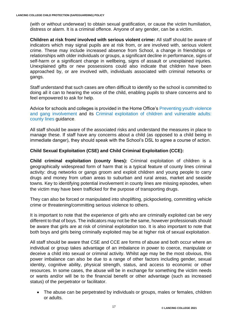(with or without underwear) to obtain sexual gratification, or cause the victim humiliation, distress or alarm. It is a criminal offence. Anyone of any gender, can be a victim.

**Children at risk from/ involved with serious violent crime:** All staff should be aware of indicators which may signal pupils are at risk from, or are involved with, serious violent crime. These may include increased absence from School, a change in friendships or relationships with older individuals or groups, a significant decline in performance, signs of self-harm or a significant change in wellbeing, signs of assault or unexplained injuries. Unexplained gifts or new possessions could also indicate that children have been approached by, or are involved with, individuals associated with criminal networks or gangs.

Staff understand that such cases are often difficult to identify so the school is committed to doing all it can to hearing the voice of the child, enabling pupils to share concerns and to feel empowered to ask for help.

Advice for schools and colleges is provided in the Home Office's [Preventing youth violence](https://assets.publishing.service.gov.uk/government/uploads/system/uploads/attachment_data/file/418131/Preventing_youth_violence_and_gang_involvement_v3_March2015.pdf)  [and gang involvement](https://assets.publishing.service.gov.uk/government/uploads/system/uploads/attachment_data/file/418131/Preventing_youth_violence_and_gang_involvement_v3_March2015.pdf) and its [Criminal exploitation of children and vulnerable adults:](https://www.gov.uk/government/publications/criminal-exploitation-of-children-and-vulnerable-adults-county-lines/criminal-exploitation-of-children-and-vulnerable-adults-county-lines)  [county lines](https://www.gov.uk/government/publications/criminal-exploitation-of-children-and-vulnerable-adults-county-lines/criminal-exploitation-of-children-and-vulnerable-adults-county-lines) guidance.

All staff should be aware of the associated risks and understand the measures in place to manage these. If staff have any concerns about a child (as opposed to a child being in immediate danger), they should speak with the School's DSL to agree a course of action.

## **Child Sexual Exploitation (CSE) and Child Criminal Exploitation (CCE):**

**Child criminal exploitation (county lines):** Criminal exploitation of children is a geographically widespread form of harm that is a typical feature of county lines criminal activity: drug networks or gangs groom and exploit children and young people to carry drugs and money from urban areas to suburban and rural areas, market and seaside towns. Key to identifying potential involvement in county lines are missing episodes, when the victim may have been trafficked for the purpose of transporting drugs.

They can also be forced or manipulated into shoplifting, pickpocketing, committing vehicle crime or threatening/committing serious violence to others.

It is important to note that the experience of girls who are criminally exploited can be very different to that of boys. The indicators may not be the same, however professionals should be aware that girls are at risk of criminal exploitation too. It is also important to note that both boys and girls being criminally exploited may be at higher risk of sexual exploitation.

All staff should be aware that CSE and CCE are forms of abuse and both occur where an individual or group takes advantage of an imbalance in power to coerce, manipulate or deceive a child into sexual or criminal activity. Whilst age may be the most obvious, this power imbalance can also be due to a range of other factors including gender, sexual identity, cognitive ability, physical strength, status, and access to economic or other resources. In some cases, the abuse will be in exchange for something the victim needs or wants and/or will be to the financial benefit or other advantage (such as increased status) of the perpetrator or facilitator.

• The abuse can be perpetrated by individuals or groups, males or females, children or adults.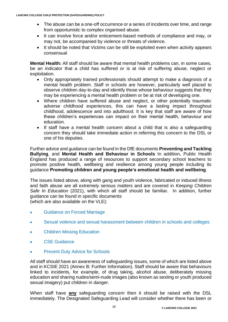- The abuse can be a one-off occurrence or a series of incidents over time, and range from opportunistic to complex organised abuse.
- It can involve force and/or enticement-based methods of compliance and may, or may not, be accompanied by violence or threats of violence.
- It should be noted that Victims can be still be exploited even when activity appears consensual

**Mental Health:** All staff should be aware that mental health problems can, in some cases, be an indicator that a child has suffered or is at risk of suffering abuse, neglect or exploitation.

- Only appropriately trained professionals should attempt to make a diagnosis of a mental health problem. Staff in schools are however, particularly well placed to observe children day-to-day and identify those whose behaviour suggests that they may be experiencing a mental health problem or be at risk of developing one.
- Where children have suffered abuse and neglect, or other potentially traumatic adverse childhood experiences, this can have a lasting impact throughout childhood, adolescence and into adulthood. It is key that staff are aware of how these children's experiences can impact on their mental health, behaviour and education.
- If staff have a mental health concern about a child that is also a safeguarding concern they should take immediate action in referring this concern to the DSL or one of his deputies.

Further advice and guidance can be found in the DfE documents **Preventing and Tackling Bullying**, and **Mental Health and Behaviour in Schools** In addition, Public Health England has produced a range of resources to support secondary school teachers to promote positive health, wellbeing and resilience among young people including its guidance **Promoting children and young people's emotional health and wellbeing**.

The issues listed above, along with gang and youth violence, fabricated or induced illness and faith abuse are all extremely serious matters and are covered in *Keeping Children Safe In Education* (2021), with which all staff should be familiar. In addition, further guidance can be found in specific documents (which are also available on the VLE):

- [Guidance on Forced Marriage](file:///C:/Users/tjones.LANCING.000/AppData/Local/Microsoft/Windows/Temporary%20Internet%20Files/Content.Outlook/VQKOR7JO/Guidance%20on%20Forced%20Marriage.pdf)
- [Sexual violence and sexual harassment between children in schools and colleges](https://lancing.fireflycloud.net/policies/safeguarding/sexual-violence-and-sexual-harassment-in-schools-and-colleges-dfe-may-2018)
- [Children Missing Education](file:///C:/Users/tjones.LANCING.000/AppData/Local/Microsoft/Windows/Temporary%20Internet%20Files/Content.Outlook/Safeguarding/Children%20Missing%20Education.pdf)
- [CSE Guidance](file:///C:/Users/tjones.LANCING.000/AppData/Local/Microsoft/Windows/Temporary%20Internet%20Files/Content.Outlook/VQKOR7JO/CSE%20Guidance.pdf)
- [Prevent Duty Advice for Schools](file:///C:/Users/tjones.LANCING.000/AppData/Local/Microsoft/Windows/Temporary%20Internet%20Files/Content.Outlook/VQKOR7JO/Prevent%20Duty%20Advice%20for%20Schools%20June%202015.pdf)

All staff should have an awareness of safeguarding issues, some of which are listed above and in KCSIE 2021 (Annex B: Further Information). Staff should be aware that behaviours linked to incidents, for example, of drug taking, alcohol abuse, deliberately missing education and sharing nudes/semi-nude images (also known as sexting or youth produced sexual imagery) put children in danger.

When staff have **any** safeguarding concern then it should be raised with the DSL immediately. The Designated Safeguarding Lead will consider whether there has been or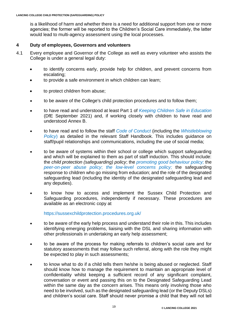is a likelihood of harm and whether there is a need for additional support from one or more agencies; the former will be reported to the Children's Social Care immediately, the latter would lead to multi-agency assessment using the local processes.

#### **4 Duty of employees, Governors and volunteers**

- 4.1 Every employee and Governor of the College as well as every volunteer who assists the College is under a general legal duty:
	- to identify concerns early, provide help for children, and prevent concerns from escalating;
	- to provide a safe environment in which children can learn;
	- to protect children from abuse;
	- to be aware of the College's child protection procedures and to follow them;
	- to have read and understood at least Part 1 of *[Keeping Children Safe in Education](https://lancing.fireflycloud.net/policies/a---z-1/keeping-children-safe-in-education)* (DfE September 2021) and, if working closely with children to have read and understood Annex B.
	- to have read and to follow the staff *[Code of Conduct](https://lancing.fireflycloud.net/policies/a---z-1/staff-code-of-conduct)* (including the *[Whistleblowing](https://lancing.fireflycloud.net/policies/a---z-1/whistleblowing-policy) [Policy](https://lancing.fireflycloud.net/policies/a---z-1/whistleblowing-policy)*) as detailed in the relevant Staff Handbook. This includes guidance on staff/pupil relationships and communications, including the use of social media;
	- to be aware of systems within their school or college which support safeguarding and which will be explained to them as part of staff induction. This should include: the *child protection (safeguarding) policy*; the *[promoting good behaviour policy;](https://lancing.fireflycloud.net/policies/a---z-1/promoting-good-behaviour)* the *[peer-on-peer abuse policy](https://lancing.fireflycloud.net/policies/a---z-1/peer-on-peer-abuse)*; *[the low-level concerns policy;](https://lancing.fireflycloud.net/policies/a---z-1/low-level-concerns-policy)* the safeguarding response to children who go missing from education; and the role of the designated safeguarding lead (including the identity of the designated safeguarding lead and any deputies).
	- to know how to access and implement the Sussex Child Protection and Safeguarding procedures, independently if necessary. These procedures are available as an electronic copy at

<https://sussexchildprotection.procedures.org.uk/>

- to be aware of the early help process and understand their role in this. This includes identifying emerging problems, liaising with the DSL and sharing information with other professionals in undertaking an early help assessment;
- to be aware of the process for making referrals to children's social care and for statutory assessments that may follow such referral, along with the role they might be expected to play in such assessments;
- to know what to do if a child tells them he/she is being abused or neglected. Staff should know how to manage the requirement to maintain an appropriate level of confidentiality whilst keeping a sufficient record of any significant complaint, conversation or event and passing this on to the Designated Safeguarding Lead within the same day as the concern arises. This means only involving those who need to be involved, such as the designated safeguarding lead (or the Deputy DSLs) and children's social care. Staff should never promise a child that they will not tell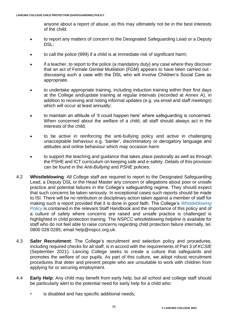anyone about a report of abuse, as this may ultimately not be in the best interests of the child.

- to report any matters of concern to the Designated Safeguarding Lead or a Deputy DSL:
- to call the police (999) if a child is at immediate risk of significant harm;
- if a teacher, to report to the police (a mandatory duty) any case where they discover that an act of Female Genital Mutilation (FGM) appears to have been carried out discussing such a case with the DSL who will involve Children's Social Care as appropriate.
- to undertake appropriate training, including induction training within their first days at the College and/update training at regular intervals (recorded at Annex A), in addition to receiving and noting informal updates (e.g. via email and staff meetings) which will occur at least annually;
- to maintain an attitude of 'it could happen here' where safeguarding is concerned. When concerned about the welfare of a child, all staff should always act in the interests of the child;
- to be active in reinforcing the anti-bullying policy and active in challenging unacceptable behaviour e.g. 'banter', discriminatory or derogatory language and attitudes and online behaviour which may occasion harm
- to support the teaching and guidance that takes place pastorally as well as through the PSHE and ICT curriculum on keeping safe and e-safety. Details of this provision can be found in the *Anti-Bullying* and *PSHE* policies.
- 4.2 **Whistleblowing**: All College staff are required to report to the Designated Safeguarding Lead, a Deputy DSL or the Head Master any concern or allegations about poor or unsafe practice and potential failures in the College's safeguarding regime. They should expect that such concerns be taken seriously. In exceptional cases such reports should be made to ISI. There will be no retribution or disciplinary action taken against a member of staff for making such a report provided that it is done in good faith. The College's *[Whistleblowing](https://lancing.fireflycloud.net/policies/a---z-1/whistleblowing-policy)*  **[Policy](https://lancing.fireflycloud.net/policies/a---z-1/whistleblowing-policy)** is contained in the relevant Staff Handbook and the importance of this policy and of a culture of safety where concerns are raised and unsafe practice is challenged is highlighted in child protection training. The *NSPCC whistleblowing helpline* is available for staff who do not feel able to raise concerns regarding child protection failure internally, tel. 0800 028 0285; email [help@nspcc.org.uk.](mailto:help@nspcc.org.uk)
- 4.3 **Safer Recruitment**: The College's recruitment and selection policy and procedures, including required checks for all staff, is in accord with the requirements of Part 3 of *KCSIE* (September 2021). Lancing College seeks to create a culture that safeguards and promotes the welfare of our pupils. As part of this culture, we adopt robust recruitment procedures that deter and prevent people who are unsuitable to work with children from applying for or securing employment.
- 4.4 **Early Help**: Any child may benefit from early help, but all school and college staff should be particularly alert to the potential need for early help for a child who:
	- is disabled and has specific additional needs;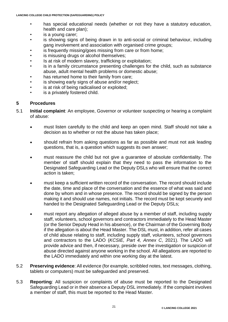- has special educational needs (whether or not they have a statutory education, health and care plan);
- is a young carer;
- is showing signs of being drawn in to anti-social or criminal behaviour, including gang involvement and association with organised crime groups;
- is frequently missing/goes missing from care or from home;
- is misusing drugs or alcohol themselves;
- Is at risk of modern slavery, trafficking or exploitation;
- is in a family circumstance presenting challenges for the child, such as substance abuse, adult mental health problems or domestic abuse;
- has returned home to their family from care;
- is showing early signs of abuse and/or neglect;
- is at risk of being radicalised or exploited;
- is a privately fostered child.

## **5 Procedures**

- 5.1 **Initial complaint**: An employee, Governor or volunteer suspecting or hearing a complaint of abuse:
	- must listen carefully to the child and keep an open mind. Staff should not take a decision as to whether or not the abuse has taken place;
	- should refrain from asking questions as far as possible and must not ask leading questions, that is, a question which suggests its own answer;
	- must reassure the child but not give a guarantee of absolute confidentiality. The member of staff should explain that they need to pass the information to the Designated Safeguarding Lead or the Deputy DSLs who will ensure that the correct action is taken;
	- must keep a sufficient written record of the conversation. The record should include the date, time and place of the conversation and the essence of what was said and done by whom and in whose presence. The record should be signed by the person making it and should use names, not initials. The record must be kept securely and handed to the Designated Safeguarding Lead or the Deputy DSLs;
	- must report any allegation of alleged abuse by a member of staff, including supply staff, volunteers, school governors and contractors immediately to the Head Master (or the Senior Deputy Head in his absence), or the Chairman of the Governing Body if the allegation is about the Head Master. The DSL must, in addition, refer all cases of child abuse relating to staff, including supply staff, volunteers, school governors and contractors to the LADO (*KCSIE, Part 4, Annex C*, 2021). The LADO will provide advice and then, if necessary, preside over the investigation or suspicion of abuse directed against anyone working in the school. All allegations are reported to the LADO immediately and within one working day at the latest.
- 5.2 **Preserving evidence**: All evidence (for example, scribbled notes, text messages, clothing, tablets or computers) must be safeguarded and preserved.
- 5.3 **Reporting**: All suspicion or complaints of abuse must be reported to the Designated Safeguarding Lead or in their absence a Deputy DSL immediately. If the complaint involves a member of staff, this must be reported to the Head Master.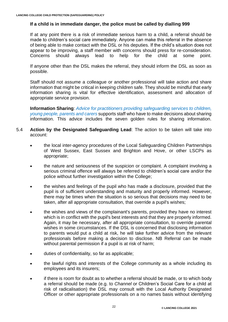## **If a child is in immediate danger, the police must be called by dialling 999**

If at any point there is a risk of immediate serious harm to a child, a referral should be made to children's social care immediately. Anyone can make this referral in the absence of being able to make contact with the DSL or his deputies. If the child's situation does not appear to be improving, a staff member with concerns should press for re-consideration. Concerns should always lead to help for the child at some point.

If anyone other than the DSL makes the referral, they should inform the DSL as soon as possible.

Staff should not assume a colleague or another professional will take action and share information that might be critical in keeping children safe. They should be mindful that early information sharing is vital for effective identification, assessment and allocation of appropriate service provision.

**Information Sharing**: *[Advice for practitioners providing safeguarding services to children,](https://lancing.fireflycloud.net/policies/safeguarding/information-sharing-advice-for-practitioners-hm-gov-july-2018)  [young people, parents and carers](https://lancing.fireflycloud.net/policies/safeguarding/information-sharing-advice-for-practitioners-hm-gov-july-2018)* supports staff who have to make decisions about sharing information. This advice includes the seven golden rules for sharing information.

#### 5.4 **Action by the Designated Safeguarding Lead**: The action to be taken will take into account:

- the local inter-agency procedures of the Local Safeguarding Children Partnerships of West Sussex, East Sussex and Brighton and Hove, or other LSCPs as appropriate;
- the nature and seriousness of the suspicion or complaint. A complaint involving a serious criminal offence will always be referred to children's social care and/or the police without further investigation within the College;
- the wishes and feelings of the pupil who has made a disclosure, provided that the pupil is of sufficient understanding and maturity and properly informed. However, there may be times when the situation is so serious that decisions may need to be taken, after all appropriate consultation, that override a pupil's wishes;
- the wishes and views of the complainant's parents, provided they have no interest which is in conflict with the pupil's best interests and that they are properly informed. Again, it may be necessary, after all appropriate consultation, to override parental wishes in some circumstances. If the DSL is concerned that disclosing information to parents would put a child at risk, he will take further advice from the relevant professionals before making a decision to disclose. NB Referral can be made without parental permission if a pupil is at risk of harm;
- duties of confidentiality, so far as applicable;
- the lawful rights and interests of the College community as a whole including its employees and its insurers;
- if there is room for doubt as to whether a referral should be made, or to which body a referral should be made (e.g. to *Channel* or Children's Social Care for a child at risk of radicalisation) the DSL may consult with the Local Authority Designated Officer or other appropriate professionals on a no names basis without identifying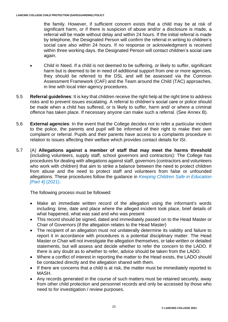the family. However, if sufficient concern exists that a child may be at risk of significant harm, or if there is suspicion of abuse and/or a disclosure is made, a referral will be made without delay and within 24 hours. If the initial referral is made by telephone, the Designated Person will confirm the referral in writing to children's social care also within 24 hours. If no response or acknowledgment is received within three working days, the Designated Person will contact children's social care again.

- Child in Need. If a child is not deemed to be suffering, or likely to suffer, significant harm but is deemed to be in need of additional support from one or more agencies, they should be referred to the DSL and will be assessed via the Common Assessment Framework (CAF) and the Team around the Child (TAC) approaches, in line with local inter-agency procedures.
- 5.5 **Referral guidelines**: It is key that children receive the right help at the right time to address risks and to prevent issues escalating. A referral to children's social care or police should be made when a child has suffered, or is likely to suffer, harm and/ or where a criminal offence has taken place. If necessary anyone can make such a referral. (See Annex B).
- 5.6 **External agencies**: In the event that the College decides not to refer a particular incident to the police, the parents and pupil will be informed of their right to make their own complaint or referral. Pupils and their parents have access to a complaints procedure in relation to issues affecting their welfare which provides contact details for ISI.
- 5.7 (A) **Allegations against a member of staff that may meet the harms threshold** (including volunteers, supply staff, school governors and contractors): The College has procedures for dealing with allegations against staff, governors (contractors and volunteers who work with children) that aim to strike a balance between the need to protect children from abuse and the need to protect staff and volunteers from false or unfounded allegations. These procedures follow the guidance in *[Keeping Children Safe in Education](https://lancing.fireflycloud.net/policies/a---z-1/keeping-children-safe-in-education) [\[Part 4\]](https://lancing.fireflycloud.net/policies/a---z-1/keeping-children-safe-in-education)* (2021).

The following process must be followed:

- Make an immediate written record of the allegation using the informant's words including: time, date and place where the alleged incident took place, brief details of what happened, what was said and who was present
- This record should be signed, dated and immediately passed on to the Head Master or Chair of Governors (if the allegation relates to the Head Master)
- The recipient of an allegation must not unilaterally determine its validity and failure to report it in accordance with procedures is a potential disciplinary matter. The Head Master or Chair will not investigate the allegation themselves, or take written or detailed statements, but will assess and decide whether to refer the concern to the LADO. If there is any doubt as to whether to refer, advice should be taken from the LADO.
- Where a conflict of interest in reporting the matter to the Head exists, the LADO should be contacted directly and the allegation shared with them.
- If there are concerns that a child is at risk, the matter must be immediately reported to MASH.
- Any records generated in the course of such matters must be retained securely, away from other child protection and personnel records and only be accessed by those who need to for investigation / review purposes.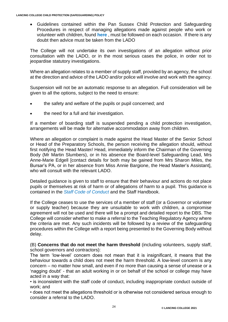• Guidelines contained within the Pan Sussex Child Protection and Safeguarding Procedures in respect of managing allegations made against people who work or volunteer with children, found **[here](https://sussexchildprotection.procedures.org.uk/tkhp/children-in-specific-circumstances/allegations-against-people-who-work-with-care-for-or-volunteer-with-children)** , must be followed on each occasion. If there is any doubt then advice must be taken from the LADO

The College will not undertake its own investigations of an allegation without prior consultation with the LADO, or in the most serious cases the police, in order not to jeopardise statutory investigations.

Where an allegation relates to a member of supply staff, provided by an agency, the school at the direction and advice of the LADO and/or police will involve and work with the agency.

Suspension will not be an automatic response to an allegation. Full consideration will be given to all the options, subject to the need to ensure:

- the safety and welfare of the pupils or pupil concerned; and
- the need for a full and fair investigation.

If a member of boarding staff is suspended pending a child protection investigation, arrangements will be made for alternative accommodation away from children.

Where an allegation or complaint is made against the Head Master of the Senior School or Head of the Preparatory Schools, the person receiving the allegation should, without first notifying the Head Master/ Head, immediately inform the Chairman of the Governing Body (Mr Martin Slumbers), or in his absence the Board-level Safeguarding Lead, Mrs Anne-Marie Edgell [contact details for both may be gained from Mrs Sharon Miles, the Bursar's PA, or in her absence from Miss Annie Bargione, the Head Master's Assistant], who will consult with the relevant LADO.

Detailed guidance is given to staff to ensure that their behaviour and actions do not place pupils or themselves at risk of harm or of allegations of harm to a pupil. This guidance is contained in the *[Staff Code of Conduct](https://lancing.fireflycloud.net/policies/a---z-1/staff-code-of-conduct)* and the Staff Handbook.

If the College ceases to use the services of a member of staff (or a Governor or volunteer or supply teacher) because they are unsuitable to work with children, a compromise agreement will not be used and there will be a prompt and detailed report to the DBS. The College will consider whether to make a referral to the Teaching Regulatory Agency where the criteria are met. Any such incidents will be followed by a review of the safeguarding procedures within the College with a report being presented to the Governing Body without delay.

(B) **Concerns that do not meet the harm threshold** (including volunteers, supply staff, school governors and contractors):

The term 'low-level' concern does not mean that it is insignificant, it means that the behaviour towards a child does not meet the harm threshold. A low-level concern is any concern – no matter how small, and even if no more than causing a sense of unease or a 'nagging doubt' - that an adult working in or on behalf of the school or college may have acted in a way that:

• is inconsistent with the staff code of conduct, including inappropriate conduct outside of work; and

• does not meet the allegations threshold or is otherwise not considered serious enough to consider a referral to the LADO.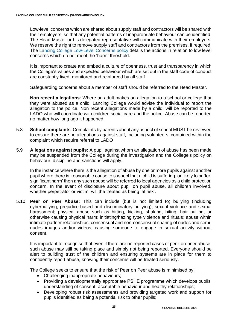Low-level concerns which are shared about supply staff and contractors will be shared with their employers, so that any potential patterns of inappropriate behaviour can be identified. The Head Master or his delegated representative will communicate with their employers. We reserve the right to remove supply staff and contractors from the premises, if required. The Lancing College [Low-Level Concerns policy](https://lancing.fireflycloud.net/policies/a---z-1/low-level-concerns-policy) details the actions in relation to low level concerns which do not meet the 'harm' threshold.

It is important to create and embed a culture of openness, trust and transparency in which the College's values and expected behaviour which are set out in the staff code of conduct are constantly lived, monitored and reinforced by all staff.

Safeguarding concerns about a member of staff should be referred to the Head Master.

**Non recent allegations**: Where an adult makes an allegation to a school or college that they were abused as a child, Lancing College would advise the individual to report the allegation to the police. Non recent allegations made by a child, will be reported to the LADO who will coordinate with children social care and the police. Abuse can be reported no matter how long ago it happened.

- 5.8 **School complaints**: Complaints by parents about any aspect of school MUST be reviewed to ensure there are no allegations against staff, including volunteers, contained within the complaint which require referral to LADO
- 5.9 **Allegations against pupils:** A pupil against whom an allegation of abuse has been made may be suspended from the College during the investigation and the College's policy on behaviour, discipline and sanctions will apply.

In the instance where there is the allegation of abuse by one or more pupils against another pupil where there is 'reasonable cause to suspect that a child is suffering, or likely to suffer, significant harm' then any such abuse will be referred to local agencies as a child protection concern. In the event of disclosure about pupil on pupil abuse, all children involved, whether perpetrator or victim, will the treated as being 'at risk'.

5.10 **Peer on Peer Abuse:** This can include (but is not limited to) bullying (including cyberbullying, prejudice-based and discriminatory bullying); sexual violence and sexual harassment; physical abuse such as hitting, kicking, shaking, biting, hair pulling, or otherwise causing physical harm; initiating/hazing type violence and rituals; abuse within intimate partner relationships; consensual and non-consensual sharing of nudes and seminudes images and/or videos; causing someone to engage in sexual activity without consent.

It is important to recognise that even if there are no reported cases of peer-on-peer abuse, such abuse may still be taking place and simply not being reported. Everyone should be alert to building trust of the children and ensuring systems are in place for them to confidently report abuse, knowing their concerns will be treated seriously.

The College seeks to ensure that the risk of Peer on Peer abuse is minimised by:

- Challenging inappropriate behaviours;
- Providing a developmentally appropriate PSHE programme which develops pupils' understanding of consent, acceptable behaviour and healthy relationships;
- Developing robust risk assessments and providing targeted work and support for pupils identified as being a potential risk to other pupils;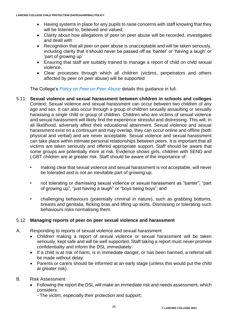- Having systems in place for any pupils to raise concerns with staff knowing that they will be listened to, believed and valued;
- Clarity about how allegations of peer on peer abuse will be recorded, investigated and dealt with
- Recognition that all peer on peer abuse is unacceptable and will be taken seriously, including clarity that it should never be passed off as 'banter' or 'having a laugh' or 'part of growing up'
- Ensuring that staff are suitably trained to manage a report of child on child sexual violence.
- Clear processes through which all children (victims, perpetrators and others affected by peer on peer abuse) will be supported

The College's *[Policy on Peer on Peer Abuse](https://lancing.fireflycloud.net/policies/a---z-1/peer-on-peer-abuse)* details this guidance in full.

- 5.11 **Sexual violence and sexual harassment between children in schools and colleges** Context: Sexual violence and sexual harassment can occur between two children of any age and sex. It can also occur through a group of children sexually assaulting or sexually harassing a single child or group of children. Children who are victims of sexual violence and sexual harassment will likely find the experience stressful and distressing. This will, in all likelihood, adversely affect their educational attainment. Sexual violence and sexual harassment exist on a continuum and may overlap, they can occur online and offline (both physical and verbal) and are never acceptable. Sexual violence and sexual harassment can take place within intimate personal relationships between peers. It is important that all victims are taken seriously and offered appropriate support. Staff should be aware that some groups are potentially more at risk. Evidence shows girls, children with SEND and LGBT children are at greater risk. Staff should be aware of the importance of:
	- making clear that sexual violence and sexual harassment is not acceptable, will never be tolerated and is not an inevitable part of growing up;
	- not tolerating or dismissing sexual violence or sexual harassment as "banter", "part of growing up", "just having a laugh" or "boys being boys"; and
	- challenging behaviours (potentially criminal in nature), such as grabbing bottoms, breasts and genitalia, flicking bras and lifting up skirts. Dismissing or tolerating such behaviours risks normalising them.

## 5.12 **Managing reports of peer on peer sexual violence and harassment**

- A. Responding to reports of sexual violence and sexual harassment
	- Children making a report of sexual violence or sexual harassment will be taken seriously, kept safe and will be well supported. Staff taking a report must never promise confidentiality and inform the DSL immediately.
	- If a child is at risk of harm, is in immediate danger, or has been harmed, a referral will be made without delay.
	- Parents or carers should be informed at an early stage (unless this would put the child at greater risk).
- B. Risk Assessment
	- Following the report the DSL will make an immediate risk and needs assessment, which considers:
		- The victim, especially their protection and support;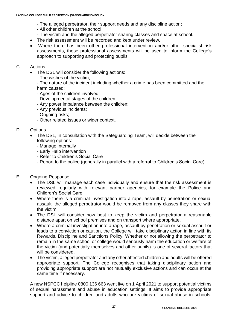- The alleged perpetrator, their support needs and any discipline action;
- All other children at the school;
- The victim and the alleged perpetrator sharing classes and space at school.
- The risk assessment will be recorded and kept under review.
- Where there has been other professional intervention and/or other specialist risk assessments, these professional assessments will be used to inform the College's approach to supporting and protecting pupils.
- C. Actions
	- The DSL will consider the following actions:
		- The wishes of the victim;

- The nature of the incident including whether a crime has been committed and the harm caused;

- Ages of the children involved;
- Developmental stages of the children;
- Any power imbalance between the children;
- Any previous incidents;
- Ongoing risks;
- Other related issues or wider context.

## D. Options

- The DSL, in consultation with the Safeguarding Team, will decide between the following options:
	- Manage internally
	- Early Help intervention
	- Refer to Children's Social Care
	- Report to the police (generally in parallel with a referral to Children's Social Care)
- E. Ongoing Response
	- The DSL will manage each case individually and ensure that the risk assessment is reviewed regularly with relevant partner agencies, for example the Police and Children's Social Care.
	- Where there is a criminal investigation into a rape, assault by penetration or sexual assault, the alleged perpetrator would be removed from any classes they share with the victim.
	- The DSL will consider how best to keep the victim and perpetrator a reasonable distance apart on school premises and on transport where appropriate.
	- Where a criminal investigation into a rape, assault by penetration or sexual assault or leads to a conviction or caution, the College will take disciplinary action in line with its Rewards, Discipline and Sanctions Policy. Whether or not allowing the perpetrator to remain in the same school or college would seriously harm the education or welfare of the victim (and potentially themselves and other pupils) is one of several factors that will be considered.
	- The victim, alleged perpetrator and any other affected children and adults will be offered appropriate support. The College recognises that taking disciplinary action and providing appropriate support are not mutually exclusive actions and can occur at the same time if necessary.

A new NSPCC helpline 0800 136 663 went live on 1 April 2021 to support potential victims of sexual harassment and abuse in education settings. It aims to provide appropriate support and advice to children and adults who are victims of sexual abuse in schools,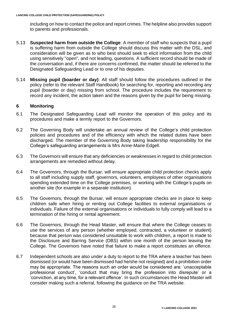including on how to contact the police and report crimes. The helpline also provides support to parents and professionals.

- 5.13 **Suspected harm from outside the College**: A member of staff who suspects that a pupil is suffering harm from outside the College should discuss this matter with the DSL, and consideration will be given as to who best should seek to elicit information from the child using sensitively "open", and not leading, questions. A sufficient record should be made of the conversation and, if there are concerns confirmed, the matter should be referred to the Designated Safeguarding Lead or to one of his deputies.
- 5.14 **Missing pupil (boarder or day)**: All staff should follow the procedures outlined in the policy (refer to the relevant Staff Handbook) for searching for, reporting and recording any pupil (boarder or day) missing from school. The procedure includes the requirement to record any incident, the action taken and the reasons given by the pupil for being missing.

## **6 Monitoring**

- 6.1 The Designated Safeguarding Lead will monitor the operation of this policy and its procedures and make a termly report to the Governors.
- 6.2 The Governing Body will undertake an annual review of the College's child protection policies and procedures and of the efficiency with which the related duties have been discharged. The member of the Governing Body taking leadership responsibility for the College's safeguarding arrangements is Mrs Anne-Marie Edgell.
- 6.3 The Governors will ensure that any deficiencies or weaknesses in regard to child protection arrangements are remedied without delay.
- 6.4 The Governors, through the Bursar, will ensure appropriate child protection checks apply to all staff including supply staff, governors, volunteers, employees of other organisations spending extended time on the College premises, or working with the College's pupils on another site (for example in a separate institution).
- 6.5 The Governors, through the Bursar, will ensure appropriate checks are in place to keep children safe when hiring or renting out College facilities to external organisations or individuals. Failure of the external organisations or individuals to fully comply will lead to a termination of the hiring or rental agreement.
- 6.6 The Governors, through the Head Master, will ensure that where the College ceases to use the services of any person (whether employed, contracted, a volunteer or student) because that person was considered unsuitable to work with children, a report is made to the Disclosure and Barring Service (DBS) within one month of the person leaving the College. The Governors have noted that failure to make a report constitutes an offence.
- 6.7 Independent schools are also under a duty to report to the TRA where a teacher has been dismissed (or would have been dismissed had he/she not resigned) and a prohibition order may be appropriate. The reasons such an order would be considered are: 'unacceptable professional conduct', 'conduct that may bring the profession into disrepute' or a 'conviction, at any time, for a relevant offence'. In such circumstances the Head Master will consider making such a referral, following the guidance on the TRA website.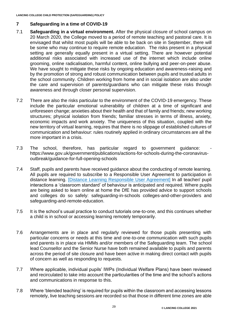# **7 Safeguarding in a time of COVID-19**

- 7.1 **Safeguarding in a virtual environment.** After the physical closure of school campus on 20 March 2020, the College moved to a period of remote teaching and pastoral care. It is envisaged that whilst most pupils will be able to be back on site in September, there will be some who may continue to require remote education. The risks present in a physical setting are generally equally present in a virtual setting. There are however potential additional risks associated with increased use of the internet which include online grooming, online radicalisation, harmful content, online bullying and peer-on-peer abuse. We have sought to mitigate these risks by ongoing education and awareness-raising and by the promotion of strong and robust communication between pupils and trusted adults in the school community. Children working from home and in social isolation are also under the care and supervision of parents/guardians who can mitigate these risks through awareness and through closer personal supervision.
- 7.2 There are also the risks particular to the environment of the COVID-19 emergency. These include the particular emotional vulnerability of children at a time of significant and unforeseen change; anxieties about their health and that of family and friends; new working structures; physical isolation from friends; familiar stresses in terms of illness, anxiety, economic impacts and work anxiety. The uniqueness of this situation, coupled with the new territory of virtual learning, requires that there is no slippage of established cultures of communication and behaviour: rules routinely applied in ordinary circumstances are all the more important in a crisis.
- 7.3 The school, therefore, has particular regard to government guidance: [https://www.gov.uk/government/publications/actions-for-schools-during-the-coronavirus](https://www.gov.uk/government/publications/actions-for-schools-during-the-coronavirus-outbreak/guidance-for-full-opening-schools)[outbreak/guidance-for-full-opening-schools](https://www.gov.uk/government/publications/actions-for-schools-during-the-coronavirus-outbreak/guidance-for-full-opening-schools)
- 7.4 Staff, pupils and parents have received guidance about the conducting of remote learning. All pupils are required to subscribe to a Responsible User Agreement to participation in distance learning. [\[Distance Learning Responsible User Agreement\]](https://www.lancingcollege.co.uk/sites/default/files/news/2019-20/Distance-Learning-Responsible-User-Agreement.pdf) In all teacher/ pupil interactions a 'classroom standard' of behaviour is anticipated and required. Where pupils are being asked to learn online at home the DfE has provided advice to support schools and colleges do so safely: safeguarding-in-schools [colleges-and-other-providers](https://www.gov.uk/government/publications/actions-for-schools-during-the-coronavirus-outbreak/guidance-for-full-opening-schools#res) and [safeguarding-and-remote-education.](https://www.gov.uk/guidance/safeguarding-and-remote-education-during-coronavirus-covid-19)
- 7.5 It is the school's usual practice to conduct tutorials one-to-one, and this continues whether a child is in school or accessing learning remotely temporarily.
- 7.6 Arrangements are in place and regularly reviewed for those pupils presenting with particular concerns or needs at this time and one-to-one communication with such pupils and parents is in place via HMMs and/or members of the Safeguarding team. The school lead Counsellor and the Senior Nurse have both remained available to pupils and parents across the period of site closure and have been active in making direct contact with pupils of concern as well as responding to requests.
- 7.7 Where applicable, individual pupils' IWPs (Individual Welfare Plans) have been reviewed and recirculated to take into account the particularities of the time and the school's actions and communications in response to this.
- 7.8 Where 'blended teaching' is required for pupils within the classroom and accessing lessons remotely, live teaching sessions are recorded so that those in different time zones are able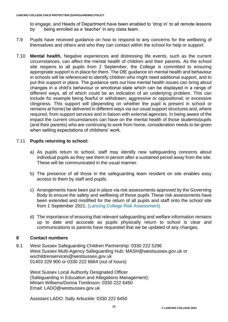to engage, and Heads of Department have been enabled to 'drop in' to all remote lessons by being enrolled as a 'teacher' in any class team.

- 7.9 Pupils have received guidance on how to respond to any concerns for the wellbeing of themselves and others and who they can contact within the school for help or support.
- 7.10 **Mental health.** Negative experiences and distressing life events, such as the current circumstances, can affect the mental health of children and their parents. As the school site reopens to all pupils from 2 September, the College is committed to ensuring appropriate support is in place for them. The DfE guidance on mental health and [behaviour](https://www.gov.uk/government/publications/mental-health-and-behaviour-in-schools--2) in [schools](https://www.gov.uk/government/publications/mental-health-and-behaviour-in-schools--2) will be referenced to identify children who might need additional support, and to put this support in place. The guidance sets out how mental health issues can bring about changes in a child's behaviour or emotional state which can be displayed in a range of different ways, all of which could be an indication of an underlying problem. This can include for example being fearful or withdrawn; aggressive or oppositional; or excessive clinginess. This support will (depending on whether the pupil is present in school or remains at home) be delivered in different ways via our usual support structures and, where required, from support services and in liaison with external agencies. In being aware of the impact the current circumstances can have on the mental health of those students/pupils (and their parents) who are continuing to work from home, consideration needs to be given when setting expectations of childrens' work.

## 7.11 **Pupils returning to school:**

- a) As pupils return to school, staff may identify new safeguarding concerns about individual pupils as they see them in person after a sustained period away from the site. These will be communicated in the usual manner.
- b) The presence of all those in the safeguarding team resident on site enables easy access to them by staff and pupils.
- c) Arrangements have been put in place via risk assessments approved by the Governing Body to ensure the safety and wellbeing of those pupils These risk assessments have been extended and modified for the return of all pupils and staff onto the school site from 1 September 2021. [\(Lancing College Risk Assessment\)](https://www.lancingcollege.co.uk/sites/default/files/inline-files/Policies/LC_Risk_Assessment_full_re-opening_November_2020.pdf)
- d) The importance of ensuring that relevant safeguarding and welfare information remains up to date and accurate as pupils physically return to school is clear and communications to parents have requested that we be updated of any changes.

#### **8 Contact numbers**

8.1 West Sussex Safeguarding Children Partnership: 0330 222 5296 West Sussex Multi-Agency Safeguarding Hub: [MASH@westsussex.gov.uk](mailto:MASH@westsussex.gov.uk) or wschildrenservices@westsussex.gov.uk 01403 229 900 or 0330 222 6664 (out of hours)

West Sussex Local Authority Designated Officer (Safeguarding in Education and Allegations Management): Miriam Williams/Donna Tomlinson: 0330 222 6450 Email: [LADO@westsussex.gov.uk](mailto:claire.coles@westsussex.gov.uk)

Assistant LADO: Sally Arbuckle: 0330 222 6450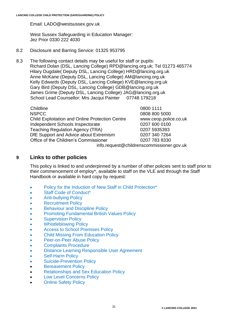Email: [LADO@westsussex.gov.uk](mailto:sally.arbuckle@westsussex.gov.uk)

West Sussex Safeguarding in Education Manager: Jez Prior 0330 222 4030

- 8.2 Disclosure and Barring Service: 01325 953795
- 8.3 The following contact details may be useful for staff or pupils: Richard Dolan (DSL, Lancing College) RPD@lancing.org.uk; Tel 01273 465774 Hilary Dugdale( Deputy DSL, Lancing College) HRD@lancing.org.uk Anne McKane (Deputy DSL, Lancing College) AM@lancing.org.uk Kelly Edwards (Deputy DSL, Lancing College) [KVE@lancing.org.uk](mailto:KVE@lancing.org.uk) Gary Bird (Deputy DSL, Lancing College) [GDB@lancing.org.uk](mailto:GDB@lancing.org.uk) James Grime (Deputy DSL, Lancing College) JAG@lancing.org.uk School Lead Counsellor: Mrs Jacqui Painter 07748 179218

| Childline                                              | 0800 1111                                 |
|--------------------------------------------------------|-------------------------------------------|
| <b>NSPCC</b>                                           | 0808 800 5000                             |
| <b>Child Exploitation and Online Protection Centre</b> | www.ceop.police.co.uk                     |
| Independent Schools Inspectorate                       | 0207 600 0100                             |
| <b>Teaching Regulation Agency (TRA)</b>                | 0207 5935393                              |
| DfE Support and Advice about Extremism                 | 0207 340 7264                             |
| Office of the Children's Commissioner                  | 0207 783 8330                             |
|                                                        | info.request@childrenscommissioner.gov.uk |

# **9 Links to other policies**

This policy is linked to and underpinned by a number of other policies sent to staff prior to their commencement of employ\*, available to staff on the VLE and through the Staff Handbook or available in hard copy by request:

- [Policy for the Induction of New Staff in Child Protection\\*](https://lancing.fireflycloud.net/policies/a---z-1/induction-of-new-staff-in-child-protection)
- [Staff Code of Conduct\\*](https://lancing.fireflycloud.net/policies/a---z-1/staff-code-of-conduct)
- [Anti-bullying Policy](https://lancing.fireflycloud.net/policies/a---z-1/anti-bullying-policy)
- [Recruitment Policy](https://lancing.fireflycloud.net/policies/a---z-1/recruitment-policy-statement)
- Behaviour and Discipline Policy
- [Promoting Fundamental British Values Policy](https://lancing.fireflycloud.net/policies/a---z-1/promoting-fundamental-british-values)
- [Supervision Policy](https://lancing.fireflycloud.net/policies/a---z-1/supervision-policy)
- [Whistleblowing Policy](https://lancing.fireflycloud.net/policies/a---z-1/whistleblowing-policy)
- [Access to School Premises Policy](https://lancing.fireflycloud.net/policies/a---z-1/access-to-school-premises)
- [Child Missing From Education Policy](https://lancing.fireflycloud.net/policies/a---z-1/child-missing-from-education-policy)
- [Peer-on-Peer Abuse Policy](https://lancing.fireflycloud.net/resource.aspx?id=174312)
- [Complaints Procedure](https://lancing.fireflycloud.net/resource.aspx?id=172922)
- [Distance Learning Responsible User Agreement](https://lancing.fireflycloud.net/policies/a---z-1/responsible-user-agreement-pupils-september-2020)
- [Self-Harm Policy](https://lancing.fireflycloud.net/resource.aspx?id=183913)
- [Suicide-Prevention Policy](https://lancing.fireflycloud.net/resource.aspx?id=188934)
- [Bereavement](https://lancing.fireflycloud.net/resource.aspx?id=234801) Policy
- [Relationships and Sex Education](https://lancingedu-my.sharepoint.com/personal/rpd_lancing_org_uk/Documents/Policies/September%202000/RSE/Lancing%20College%20Relationships%20and%20Sex%20Policy%20January%202021%20v6%20draft.pdf) Policy
- [Low Level Concerns Policy](https://lancing.fireflycloud.net/policies/a---z-1/low-level-concerns-policy)
- **[Online Safety Policy](https://lancing.fireflycloud.net/policies/a---z-1/online-safety)**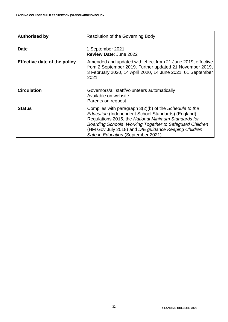ń

| <b>Authorised by</b>                | <b>Resolution of the Governing Body</b>                                                                                                                                                                                                                                                                                        |
|-------------------------------------|--------------------------------------------------------------------------------------------------------------------------------------------------------------------------------------------------------------------------------------------------------------------------------------------------------------------------------|
| <b>Date</b>                         | 1 September 2021<br><b>Review Date: June 2022</b>                                                                                                                                                                                                                                                                              |
| <b>Effective date of the policy</b> | Amended and updated with effect from 21 June 2019; effective<br>from 2 September 2019. Further updated 21 November 2019,<br>3 February 2020, 14 April 2020, 14 June 2021, 01 September<br>2021                                                                                                                                 |
| <b>Circulation</b>                  | Governors/all staff/volunteers automatically<br>Available on website<br>Parents on request                                                                                                                                                                                                                                     |
| <b>Status</b>                       | Complies with paragraph 3(2)(b) of the Schedule to the<br>Education (Independent School Standards) (England)<br>Regulations 2015, the National Minimum Standards for<br>Boarding Schools, Working Together to Safeguard Children<br>(HM Gov July 2018) and DfE guidance Keeping Children<br>Safe in Education (September 2021) |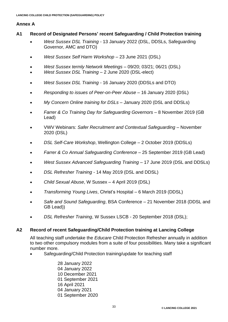## **Annex A**

- **A1 Record of Designated Persons' recent Safeguarding / Child Protection training**
	- *West Sussex DSL Training -* 13 January 2022 (DSL, DDSLs, Safeguarding Governor, AMC and DTO)
	- *West Sussex Self Harm Workshop* 23 June 2021 (DSL)
	- *West Sussex termly Network Meetings* 09/20; 03/21; 06/21 (DSL)
	- *West Sussex DSL Training* 2 June 2020 (DSL-elect)
	- *West Sussex DSL Training -* 16 January 2020 (DDSLs and DTO)
	- *Responding to issues of Peer-on-Peer Abuse –* 16 January 2020 {DSL)
	- *My Concern Online training for DSLs –* January 2020 (DSL and DDSLs)
	- *Farrer & Co Training Day for Safeguarding Governors –* 8 November 2019 (GB Lead)
	- VWV Webinars: *Safer Recruitment and Contextual Safeguarding –* November 2020 (DSL)
	- *DSL Self-Care Workshop*, Wellington College 2 October 2019 (DDSLs)
	- *Farrer & Co Annual Safeguarding Conference –* 25 September 2019 (GB Lead)
	- *West Sussex Advanced Safeguarding Training* 17 June 2019 (DSL and DDSLs)
	- *DSL Refresher Training* 14 May 2019 (DSL and DDSL)
	- *Child Sexual Abuse*, W Sussex 4 April 2019 (DSL)
	- *Transforming Young Lives*, Christ's Hospital 6 March 2019 (DDSL)
	- *Safe and Sound Safeguarding*, BSA Conference 21 November 2018 (DDSL and GB Lead))
	- *DSL Refresher Training*, W Sussex LSCB 20 September 2018 (DSL);

## **A2 Record of recent Safeguarding/Child Protection training at Lancing College**

All teaching staff undertake the *Educare* Child Protection Refresher annually in addition to two other compulsory modules from a suite of four possibilities. Many take a significant number more.

Safeguarding/Child Protection training/update for teaching staff

28 January 2022 04 January 2022 10 December 2021 01 September 2021 16 April 2021 04 January 2021 01 September 2020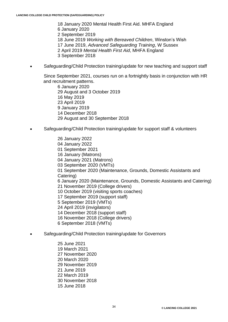18 January 2020 Mental Health First Aid. MHFA England 6 January 2020 2 September 2019 18 June 2019 *Working with Bereaved Children*, Winston's Wish 17 June 2019, *Advanced Safeguarding Training*, W Sussex 2 April 2019 *Mental Health First Aid*, MHFA England 3 September 2018

• Safeguarding/Child Protection training/update for new teaching and support staff

Since September 2021, courses run on a fortnightly basis in conjunction with HR and recruitment patterns.

6 January 2020 29 August and 3 October 2019 16 May 2019 23 April 2019 9 January 2019 14 December 2018 29 August and 30 September 2018

• Safeguarding/Child Protection training/update for support staff & volunteers

26 January 2022 04 January 2022 01 September 2021 16 January (Matrons) 04 January 2021 (Matrons) 03 September 2020 (VMTs) 01 September 2020 (Maintenance, Grounds, Domestic Assistants and Catering) 6 January 2020 (Maintenance, Grounds, Domestic Assistants and Catering) 21 November 2019 (College drivers) 10 October 2019 (visiting sports coaches) 17 September 2019 (support staff) 5 September 2019 (VMTs) 24 April 2019 (invigilators) 14 December 2018 (support staff) 16 November 2018 (College drivers) 6 September 2018 (VMTs)

• Safeguarding/Child Protection training/update for Governors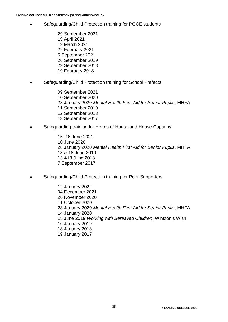- Safeguarding/Child Protection training for PGCE students
	- 29 September 2021 19 April 2021 19 March 2021 22 February 2021 5 September 2021 26 September 2019 29 September 2018 19 February 2018
- Safeguarding/Child Protection training for School Prefects

09 September 2021 10 September 2020 28 January 2020 *Mental Health First Aid for Senior Pupils*, MHFA 11 September 2019 12 September 2018 13 September 2017

• Safeguarding training for Heads of House and House Captains

15+16 June 2021 10 June 2020 28 January 2020 *Mental Health First Aid for Senior Pupils*, MHFA 13 & 18 June 2019 13 &18 June 2018 7 September 2017

• Safeguarding/Child Protection training for Peer Supporters

12 January 2022 04 December 2021 26 November 2020 11 October 2020 28 January 2020 *Mental Health First Aid for Senior Pupils*, MHFA 14 January 2020 18 June 2019 *Working with Bereaved Children*, Winston's Wish 16 January 2019 18 January 2018 19 January 2017